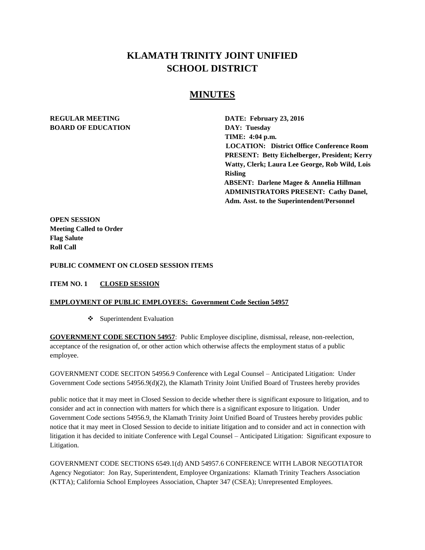## **KLAMATH TRINITY JOINT UNIFIED SCHOOL DISTRICT**

### **MINUTES**

# **BOARD OF EDUCATION DAY: Tuesday**

**REGULAR MEETING DATE: February 23, 2016 TIME: 4:04 p.m. LOCATION: District Office Conference Room PRESENT: Betty Eichelberger, President; Kerry Watty, Clerk; Laura Lee George, Rob Wild, Lois Risling ABSENT: Darlene Magee & Annelia Hillman ADMINISTRATORS PRESENT: Cathy Danel, Adm. Asst. to the Superintendent/Personnel** 

**OPEN SESSION Meeting Called to Order Flag Salute Roll Call**

**PUBLIC COMMENT ON CLOSED SESSION ITEMS** 

**ITEM NO. 1 CLOSED SESSION**

#### **EMPLOYMENT OF PUBLIC EMPLOYEES: Government Code Section 54957**

 $\bullet$  Superintendent Evaluation

**GOVERNMENT CODE SECTION 54957**: Public Employee discipline, dismissal, release, non-reelection, acceptance of the resignation of, or other action which otherwise affects the employment status of a public employee.

GOVERNMENT CODE SECITON 54956.9 Conference with Legal Counsel – Anticipated Litigation: Under Government Code sections 54956.9(d)(2), the Klamath Trinity Joint Unified Board of Trustees hereby provides

public notice that it may meet in Closed Session to decide whether there is significant exposure to litigation, and to consider and act in connection with matters for which there is a significant exposure to litigation. Under Government Code sections 54956.9, the Klamath Trinity Joint Unified Board of Trustees hereby provides public notice that it may meet in Closed Session to decide to initiate litigation and to consider and act in connection with litigation it has decided to initiate Conference with Legal Counsel – Anticipated Litigation: Significant exposure to Litigation.

GOVERNMENT CODE SECTIONS 6549.1(d) AND 54957.6 CONFERENCE WITH LABOR NEGOTIATOR Agency Negotiator: Jon Ray, Superintendent, Employee Organizations: Klamath Trinity Teachers Association (KTTA); California School Employees Association, Chapter 347 (CSEA); Unrepresented Employees.